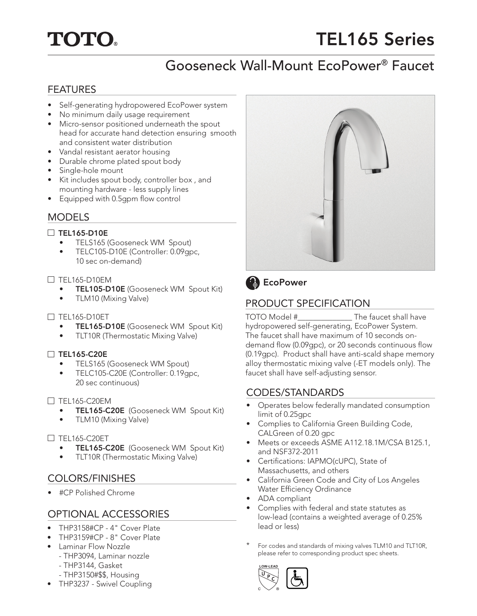

# TEL165 Series

# Gooseneck Wall-Mount EcoPower® Faucet

## FEATURES

- Self-generating hydropowered EcoPower system
- No minimum daily usage requirement
- Micro-sensor positioned underneath the spout head for accurate hand detection ensuring smooth and consistent water distribution
- Vandal resistant aerator housing
- Durable chrome plated spout body
- Single-hole mount
- Kit includes spout body, controller box , and mounting hardware - less supply lines
- Equipped with 0.5gpm flow control

## MODELS

#### $\Box$  TEL165-D10E

- TELS165 (Gooseneck WM Spout)
- TELC105-D10E (Controller: 0.09gpc, 10 sec on-demand)

#### $\Box$  TEL165-D10EM

- TEL105-D10E (Gooseneck WM Spout Kit)
- TLM10 (Mixing Valve)

#### $\Box$  TEL165-D10ET

- TEL165-D10E (Gooseneck WM Spout Kit)
- TLT10R (Thermostatic Mixing Valve)

#### □ TEL165-C20E

- TELS165 (Gooseneck WM Spout)
- TELC105-C20E (Controller: 0.19gpc, 20 sec continuous)

#### $\Box$  TEL165-C20EM

- TEL165-C20E (Gooseneck WM Spout Kit)
- TLM10 (Mixing Valve)

#### $\Box$  TEL165-C20ET

- TEL165-C20E (Gooseneck WM Spout Kit)
- TLT10R (Thermostatic Mixing Valve)

# COLORS/FINISHES

• #CP Polished Chrome

# OPTIONAL ACCESSORIES

- THP3158#CP 4" Cover Plate
- THP3159#CP 8" Cover Plate
- Laminar Flow Nozzle
	- THP3094, Laminar nozzle
	- THP3144, Gasket
- THP3150#\$\$, Housing • THP3237 - Swivel Coupling



# CODES/STANDARDS

- Operates below federally mandated consumption limit of 0.25gpc
- Complies to California Green Building Code, CALGreen of 0.20 gpc
- Meets or exceeds ASME A112.18.1M/CSA B125.1, and NSF372-2011
- Certifications: IAPMO(cUPC), State of Massachusetts, and others
- California Green Code and City of Los Angeles Water Efficiency Ordinance
- ADA compliant
- Complies with federal and state statutes as low-lead (contains a weighted average of 0.25% lead or less)
- For codes and standards of mixing valves TLM10 and TLT10R, please refer to corresponding product spec sheets.





# PRODUCT SPECIFICATION

hydropowered self-generating, EcoPower System. The faucet shall have maximum of 10 seconds ondemand flow (0.09gpc), or 20 seconds continuous flow (0.19gpc). Product shall have anti-scald shape memory alloy thermostatic mixing valve (-ET models only). The faucet shall have self-adjusting sensor.

**LOW-LEAD**